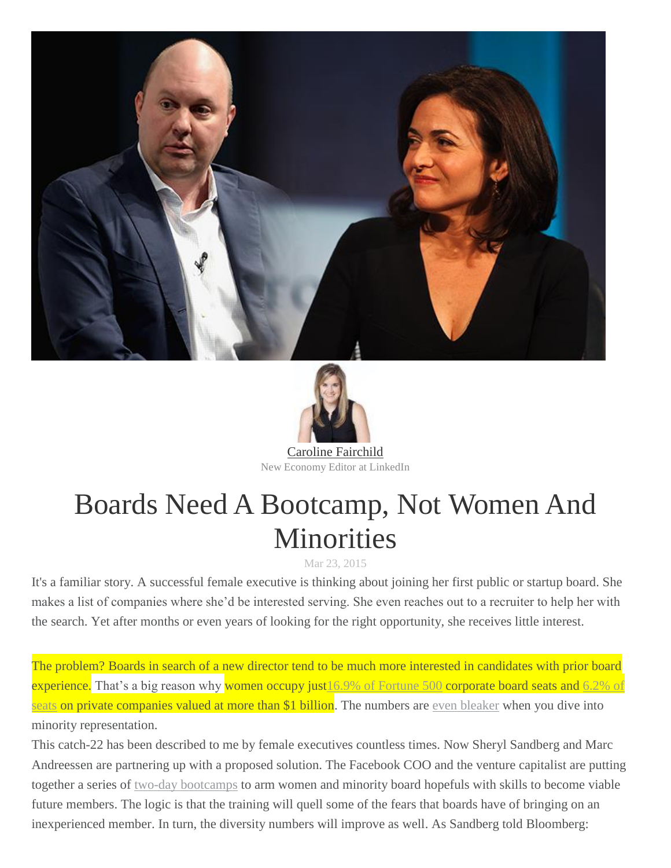



New Economy Editor at LinkedIn

## Boards Need A Bootcamp, Not Women And **Minorities**

## Mar 23, 2015

It's a familiar story. A successful female executive is thinking about joining her first public or startup board. She makes a list of companies where she'd be interested serving. She even reaches out to a recruiter to help her with the search. Yet after months or even years of looking for the right opportunity, she receives little interest.

The problem? Boards in search of a new director tend to be much more interested in candidates with prior board experience. That's a big reason why women occupy just 16.9% of [Fortune](http://fortune.com/2014/11/14/female-board-directors-ced/) 500 corporate board seats and [6.2%](http://fortune.com/2015/03/16/unicorns-women-boards/) of [seats](http://fortune.com/2015/03/16/unicorns-women-boards/) on private companies valued at more than \$1 billion. The numbers are even [bleaker](http://www.bloomberg.com/news/articles/2015-03-20/sheryl-sandberg-and-marc-andreessen-are-sending-women-to-boot-camp) when you dive into minority representation.

This catch-22 has been described to me by female executives countless times. Now Sheryl Sandberg and Marc Andreessen are partnering up with a proposed solution. The Facebook COO and the venture capitalist are putting together a series of two-day [bootcamps](http://www.bloomberg.com/news/articles/2015-03-20/sheryl-sandberg-and-marc-andreessen-are-sending-women-to-boot-camp) to arm women and minority board hopefuls with skills to become viable future members. The logic is that the training will quell some of the fears that boards have of bringing on an inexperienced member. In turn, the diversity numbers will improve as well. As Sandberg told Bloomberg: